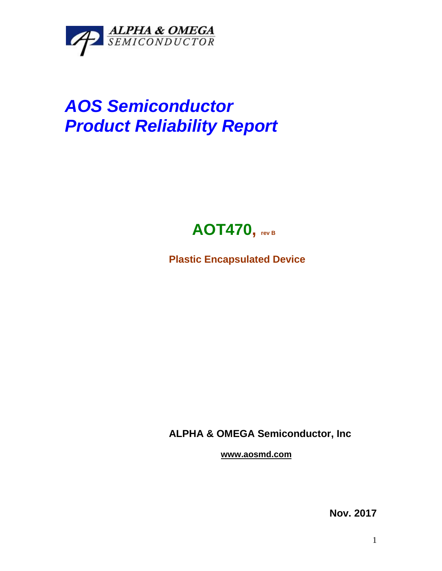

## *AOS Semiconductor Product Reliability Report*



**Plastic Encapsulated Device**

**ALPHA & OMEGA Semiconductor, Inc**

**www.aosmd.com**

**Nov. 2017**